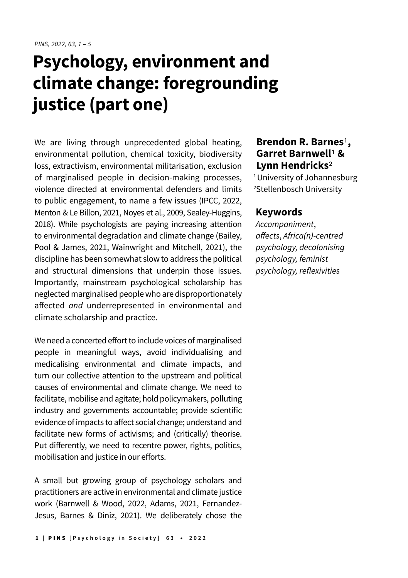## **Psychology, environment and climate change: foregrounding justice (part one)**

We are living through unprecedented global heating, environmental pollution, chemical toxicity, biodiversity loss, extractivism, environmental militarisation, exclusion of marginalised people in decision-making processes, violence directed at environmental defenders and limits to public engagement, to name a few issues (IPCC, 2022, Menton & Le Billon, 2021, Noyes et al., 2009, Sealey-Huggins, 2018). While psychologists are paying increasing attention to environmental degradation and climate change (Bailey, Pool & James, 2021, Wainwright and Mitchell, 2021), the discipline has been somewhat slow to address the political and structural dimensions that underpin those issues. Importantly, mainstream psychological scholarship has neglected marginalised people who are disproportionately affected *and* underrepresented in environmental and climate scholarship and practice.

We need a concerted effort to include voices of marginalised people in meaningful ways, avoid individualising and medicalising environmental and climate impacts, and turn our collective attention to the upstream and political causes of environmental and climate change. We need to facilitate, mobilise and agitate; hold policymakers, polluting industry and governments accountable; provide scientific evidence of impacts to affect social change; understand and facilitate new forms of activisms; and (critically) theorise. Put differently, we need to recentre power, rights, politics, mobilisation and justice in our efforts.

A small but growing group of psychology scholars and practitioners are active in environmental and climate justice work (Barnwell & Wood, 2022, Adams, 2021, Fernandez-Jesus, Barnes & Diniz, 2021). We deliberately chose the

## **Brendon R. Barnes**1**, Garret Barnwell**1 **& Lynn Hendricks**2

<sup>1</sup> University of Johannesburg 2 Stellenbosch University

## **Keywords**

Accompaniment, affects, Africa(n)-centred *psychology, decolonising*  psychology, feminist psychology, reflexivities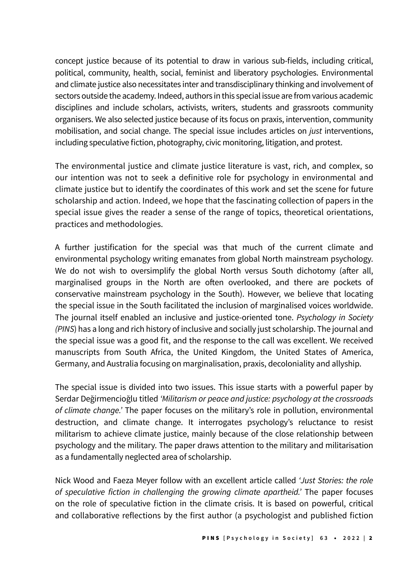concept justice because of its potential to draw in various sub-fields, including critical, political, community, health, social, feminist and liberatory psychologies. Environmental and climate justice also necessitates inter and transdisciplinary thinking and involvement of sectors outside the academy. Indeed, authors in this special issue are from various academic disciplines and include scholars, activists, writers, students and grassroots community organisers. We also selected justice because of its focus on praxis, intervention, community mobilisation, and social change. The special issue includes articles on *just* interventions, including speculative fiction, photography, civic monitoring, litigation, and protest.

The environmental justice and climate justice literature is vast, rich, and complex, so our intention was not to seek a definitive role for psychology in environmental and climate justice but to identify the coordinates of this work and set the scene for future scholarship and action. Indeed, we hope that the fascinating collection of papers in the special issue gives the reader a sense of the range of topics, theoretical orientations, practices and methodologies.

A further justification for the special was that much of the current climate and environmental psychology writing emanates from global North mainstream psychology. We do not wish to oversimplify the global North versus South dichotomy (after all, marginalised groups in the North are often overlooked, and there are pockets of conservative mainstream psychology in the South). However, we believe that locating the special issue in the South facilitated the inclusion of marginalised voices worldwide. The journal itself enabled an inclusive and justice-oriented tone. Psychology in Society (PINS) has a long and rich history of inclusive and socially just scholarship. The journal and the special issue was a good fit, and the response to the call was excellent. We received manuscripts from South Africa, the United Kingdom, the United States of America, Germany, and Australia focusing on marginalisation, praxis, decoloniality and allyship.

The special issue is divided into two issues. This issue starts with a powerful paper by Serdar Değirmencioğlu titled 'Militarism or peace and justice: psychology at the crossroads of climate change.' The paper focuses on the military's role in pollution, environmental destruction, and climate change. It interrogates psychology's reluctance to resist militarism to achieve climate justice, mainly because of the close relationship between psychology and the military. The paper draws attention to the military and militarisation as a fundamentally neglected area of scholarship.

Nick Wood and Faeza Meyer follow with an excellent article called 'Just Stories: the role of speculative fiction in challenging the growing climate apartheid.' The paper focuses on the role of speculative fiction in the climate crisis. It is based on powerful, critical and collaborative reflections by the first author (a psychologist and published fiction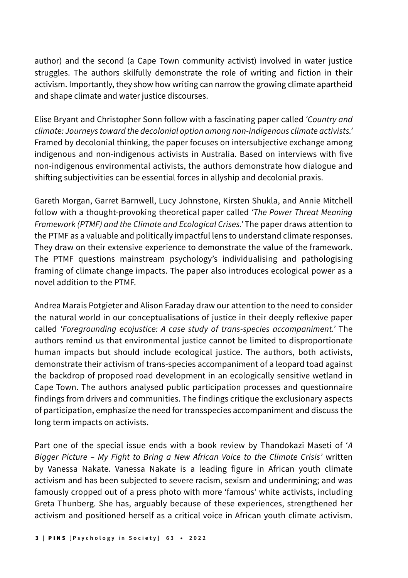author) and the second (a Cape Town community activist) involved in water justice struggles. The authors skilfully demonstrate the role of writing and fiction in their activism. Importantly, they show how writing can narrow the growing climate apartheid and shape climate and water justice discourses.

Elise Bryant and Christopher Sonn follow with a fascinating paper called 'Country and climate: Journeys toward the decolonial option among non-indigenous climate activists.' Framed by decolonial thinking, the paper focuses on intersubjective exchange among indigenous and non-indigenous activists in Australia. Based on interviews with five non-indigenous environmental activists, the authors demonstrate how dialogue and shifting subjectivities can be essential forces in allyship and decolonial praxis.

Gareth Morgan, Garret Barnwell, Lucy Johnstone, Kirsten Shukla, and Annie Mitchell follow with a thought-provoking theoretical paper called 'The Power Threat Meaning Framework (PTMF) and the Climate and Ecological Crises.' The paper draws attention to the PTMF as a valuable and politically impactful lens to understand climate responses. They draw on their extensive experience to demonstrate the value of the framework. The PTMF questions mainstream psychology's individualising and pathologising framing of climate change impacts. The paper also introduces ecological power as a novel addition to the PTMF.

Andrea Marais Potgieter and Alison Faraday draw our attention to the need to consider the natural world in our conceptualisations of justice in their deeply reflexive paper called 'Foregrounding ecojustice: A case study of trans-species accompaniment.' The authors remind us that environmental justice cannot be limited to disproportionate human impacts but should include ecological justice. The authors, both activists, demonstrate their activism of trans-species accompaniment of a leopard toad against the backdrop of proposed road development in an ecologically sensitive wetland in Cape Town. The authors analysed public participation processes and questionnaire findings from drivers and communities. The findings critique the exclusionary aspects of participation, emphasize the need for transspecies accompaniment and discuss the long term impacts on activists.

Part one of the special issue ends with a book review by Thandokazi Maseti of 'A Bigger Picture – My Fight to Bring a New African Voice to the Climate Crisis' written by Vanessa Nakate. Vanessa Nakate is a leading figure in African youth climate activism and has been subjected to severe racism, sexism and undermining; and was famously cropped out of a press photo with more 'famous' white activists, including Greta Thunberg. She has, arguably because of these experiences, strengthened her activism and positioned herself as a critical voice in African youth climate activism.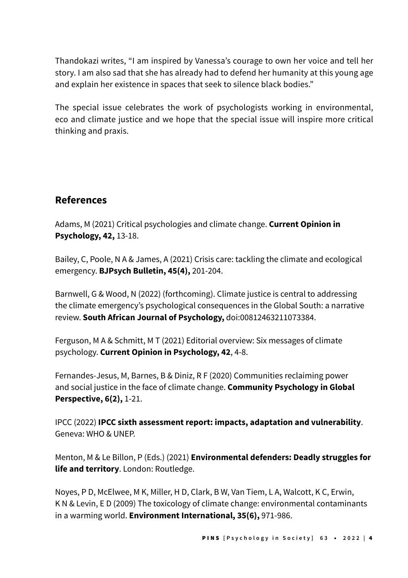Thandokazi writes, "I am inspired by Vanessa's courage to own her voice and tell her story. I am also sad that she has already had to defend her humanity at this young age and explain her existence in spaces that seek to silence black bodies."

The special issue celebrates the work of psychologists working in environmental, eco and climate justice and we hope that the special issue will inspire more critical thinking and praxis.

## **References**

Adams, M (2021) Critical psychologies and climate change. **Current Opinion in Psychology, 42,** 13-18.

Bailey, C, Poole, N A & James, A (2021) Crisis care: tackling the climate and ecological emergency. **BJPsych Bulletin, 45(4),** 201-204.

Barnwell, G & Wood, N (2022) (forthcoming). Climate justice is central to addressing the climate emergency's psychological consequences in the Global South: a narrative review. **South African Journal of Psychology,** doi:00812463211073384.

Ferguson, M A & Schmitt, M T (2021) Editorial overview: Six messages of climate psychology. **Current Opinion in Psychology, 42**, 4-8.

Fernandes-Jesus, M, Barnes, B & Diniz, R F (2020) Communities reclaiming power and social justice in the face of climate change. **Community Psychology in Global Perspective, 6(2),** 1-21.

IPCC (2022) **IPCC sixth assessment report: impacts, adaptation and vulnerability**. Geneva: WHO & UNEP.

Menton, M & Le Billon, P (Eds.) (2021) **Environmental defenders: Deadly struggles for life and territory**. London: Routledge.

Noyes, P D, McElwee, M K, Miller, H D, Clark, B W, Van Tiem, L A, Walcott, K C, Erwin, K N & Levin, E D (2009) The toxicology of climate change: environmental contaminants in a warming world. **Environment International, 35(6),** 971-986.